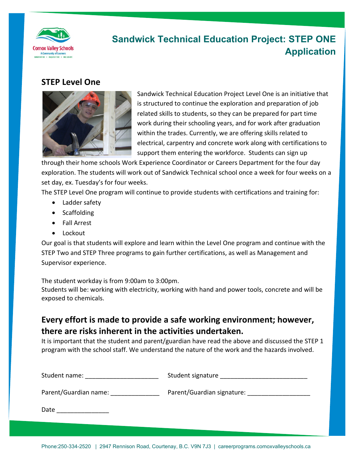

# **Sandwick Technical Education Project: STEP ONE Application**

#### **STEP Level One**



Sandwick Technical Education Project Level One is an initiative that is structured to continue the exploration and preparation of job related skills to students, so they can be prepared for part time work during their schooling years, and for work after graduation within the trades. Currently, we are offering skills related to electrical, carpentry and concrete work along with certifications to support them entering the workforce. Students can sign up

through their home schools Work Experience Coordinator or Careers Department for the four day exploration. The students will work out of Sandwick Technical school once a week for four weeks on a set day, ex. Tuesday's for four weeks.

The STEP Level One program will continue to provide students with certifications and training for:

- Ladder safety
- Scaffolding
- Fall Arrest
- Lockout

Our goal is that students will explore and learn within the Level One program and continue with the STEP Two and STEP Three programs to gain further certifications, as well as Management and Supervisor experience.

The student workday is from 9:00am to 3:00pm.

Students will be: working with electricity, working with hand and power tools, concrete and will be exposed to chemicals.

### **Every effort is made to provide a safe working environment; however, there are risks inherent in the activities undertaken.**

It is important that the student and parent/guardian have read the above and discussed the STEP 1 program with the school staff. We understand the nature of the work and the hazards involved.

| Student name:         | Student signature          |
|-----------------------|----------------------------|
| Parent/Guardian name: | Parent/Guardian signature: |
| Date                  |                            |